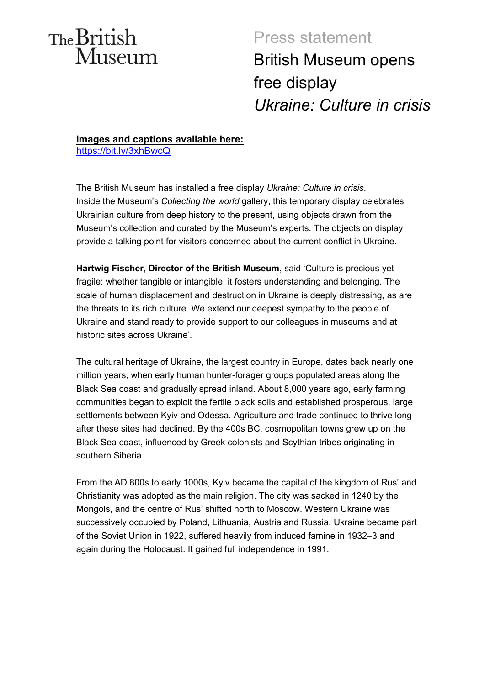# The British Museum

# Press statement British Museum opens free display *Ukraine: Culture in crisis*

**Images and captions available here:**  <https://bit.ly/3xhBwcQ>

The British Museum has installed a free display *Ukraine: Culture in crisis*. Inside the Museum's *Collecting the world* gallery, this temporary display celebrates Ukrainian culture from deep history to the present, using objects drawn from the Museum's collection and curated by the Museum's experts. The objects on display provide a talking point for visitors concerned about the current conflict in Ukraine.

**Hartwig Fischer, Director of the British Museum**, said 'Culture is precious yet fragile: whether tangible or intangible, it fosters understanding and belonging. The scale of human displacement and destruction in Ukraine is deeply distressing, as are the threats to its rich culture. We extend our deepest sympathy to the people of Ukraine and stand ready to provide support to our colleagues in museums and at historic sites across Ukraine'.

The cultural heritage of Ukraine, the largest country in Europe, dates back nearly one million years, when early human hunter-forager groups populated areas along the Black Sea coast and gradually spread inland. About 8,000 years ago, early farming communities began to exploit the fertile black soils and established prosperous, large settlements between Kyiv and Odessa. Agriculture and trade continued to thrive long after these sites had declined. By the 400s BC, cosmopolitan towns grew up on the Black Sea coast, influenced by Greek colonists and Scythian tribes originating in southern Siberia.

From the AD 800s to early 1000s, Kyiv became the capital of the kingdom of Rus' and Christianity was adopted as the main religion. The city was sacked in 1240 by the Mongols, and the centre of Rus' shifted north to Moscow. Western Ukraine was successively occupied by Poland, Lithuania, Austria and Russia. Ukraine became part of the Soviet Union in 1922, suffered heavily from induced famine in 1932–3 and again during the Holocaust. It gained full independence in 1991.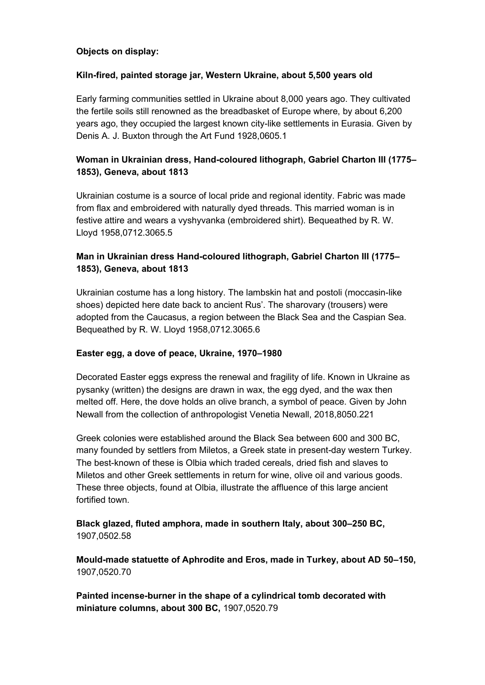### **Objects on display:**

### **Kiln-fired, painted storage jar, Western Ukraine, about 5,500 years old**

Early farming communities settled in Ukraine about 8,000 years ago. They cultivated the fertile soils still renowned as the breadbasket of Europe where, by about 6,200 years ago, they occupied the largest known city-like settlements in Eurasia. Given by Denis A. J. Buxton through the Art Fund 1928,0605.1

# **Woman in Ukrainian dress, Hand-coloured lithograph, Gabriel Charton III (1775– 1853), Geneva, about 1813**

Ukrainian costume is a source of local pride and regional identity. Fabric was made from flax and embroidered with naturally dyed threads. This married woman is in festive attire and wears a vyshyvanka (embroidered shirt). Bequeathed by R. W. Lloyd 1958,0712.3065.5

# **Man in Ukrainian dress Hand-coloured lithograph, Gabriel Charton III (1775– 1853), Geneva, about 1813**

Ukrainian costume has a long history. The lambskin hat and postoli (moccasin-like shoes) depicted here date back to ancient Rus'. The sharovary (trousers) were adopted from the Caucasus, a region between the Black Sea and the Caspian Sea. Bequeathed by R. W. Lloyd 1958,0712.3065.6

## **Easter egg, a dove of peace, Ukraine, 1970–1980**

Decorated Easter eggs express the renewal and fragility of life. Known in Ukraine as pysanky (written) the designs are drawn in wax, the egg dyed, and the wax then melted off. Here, the dove holds an olive branch, a symbol of peace. Given by John Newall from the collection of anthropologist Venetia Newall, 2018,8050.221

Greek colonies were established around the Black Sea between 600 and 300 BC, many founded by settlers from Miletos, a Greek state in present-day western Turkey. The best-known of these is Olbia which traded cereals, dried fish and slaves to Miletos and other Greek settlements in return for wine, olive oil and various goods. These three objects, found at Olbia, illustrate the affluence of this large ancient fortified town.

**Black glazed, fluted amphora, made in southern Italy, about 300–250 BC,**  1907,0502.58

**Mould-made statuette of Aphrodite and Eros, made in Turkey, about AD 50–150,**  1907,0520.70

**Painted incense-burner in the shape of a cylindrical tomb decorated with miniature columns, about 300 BC,** 1907,0520.79